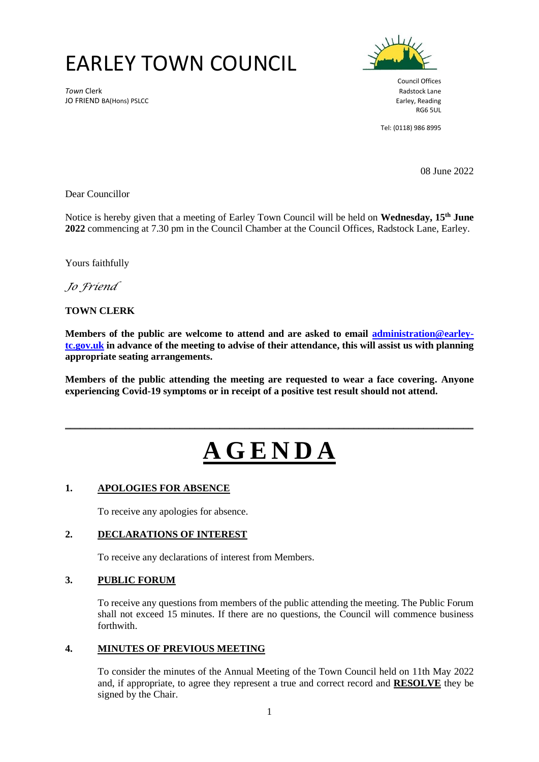## EARLEY TOWN COUNCIL

**Town Clerk** Radstock Lane JO FRIEND BA(Hons) PSLCC **Earley, Reading** SCCC **Earley, Reading** SCCC **Earley, Reading** 



Council Offices RG6 5UL

Tel: (0118) 986 8995

08 June 2022

Dear Councillor

Notice is hereby given that a meeting of Earley Town Council will be held on **Wednesday, 15 th June 2022** commencing at 7.30 pm in the Council Chamber at the Council Offices, Radstock Lane, Earley.

Yours faithfully

*Jo Friend*

#### **TOWN CLERK**

**Members of the public are welcome to attend and are asked to email [administration@earley](mailto:administration@earley-tc.gov.uk)[tc.gov.uk](mailto:administration@earley-tc.gov.uk) in advance of the meeting to advise of their attendance, this will assist us with planning appropriate seating arrangements.** 

**Members of the public attending the meeting are requested to wear a face covering. Anyone experiencing Covid-19 symptoms or in receipt of a positive test result should not attend.**

# **A G E N D A**

\_\_\_\_\_\_\_\_\_\_\_\_\_\_\_\_\_\_\_\_\_\_\_\_\_\_\_\_\_\_\_\_\_\_\_\_\_\_\_\_\_\_\_\_\_\_\_\_\_\_\_\_\_\_\_\_\_\_\_\_\_\_\_\_\_\_\_\_\_\_\_\_\_\_\_\_\_\_\_\_\_\_

#### **1. APOLOGIES FOR ABSENCE**

To receive any apologies for absence.

#### **2. DECLARATIONS OF INTEREST**

To receive any declarations of interest from Members.

#### **3. PUBLIC FORUM**

To receive any questions from members of the public attending the meeting. The Public Forum shall not exceed 15 minutes. If there are no questions, the Council will commence business forthwith.

#### **4. MINUTES OF PREVIOUS MEETING**

To consider the minutes of the Annual Meeting of the Town Council held on 11th May 2022 and, if appropriate, to agree they represent a true and correct record and **RESOLVE** they be signed by the Chair.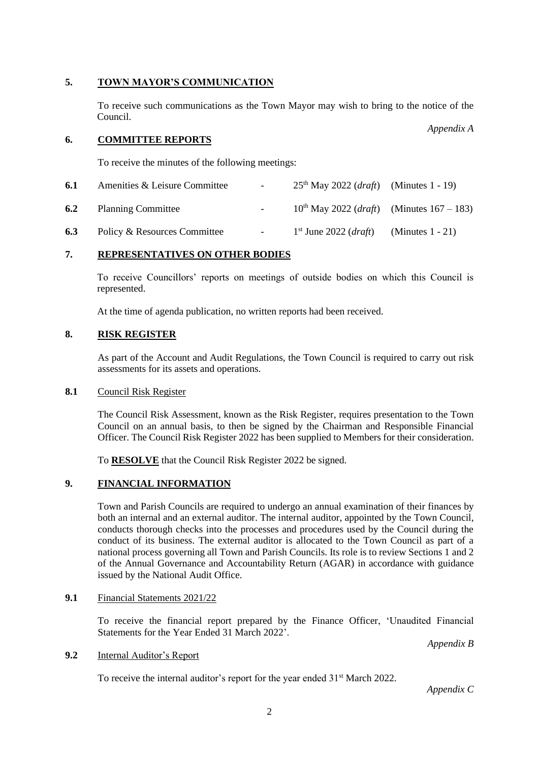#### **5. TOWN MAYOR'S COMMUNICATION**

To receive such communications as the Town Mayor may wish to bring to the notice of the Council.

#### **6. COMMITTEE REPORTS**

To receive the minutes of the following meetings:

| 6.1 | Amenities & Leisure Committee | $\sim$ | $25th$ May 2022 ( <i>draft</i> ) (Minutes 1 - 19)          |                     |
|-----|-------------------------------|--------|------------------------------------------------------------|---------------------|
| 6.2 | <b>Planning Committee</b>     |        | $10^{th}$ May 2022 ( <i>draft</i> ) (Minutes $167 - 183$ ) |                     |
| 6.3 | Policy & Resources Committee  | $\sim$ | $1st$ June 2022 ( <i>draft</i> )                           | (Minutes $1 - 21$ ) |

#### **7. REPRESENTATIVES ON OTHER BODIES**

To receive Councillors' reports on meetings of outside bodies on which this Council is represented.

At the time of agenda publication, no written reports had been received.

#### **8. RISK REGISTER**

As part of the Account and Audit Regulations, the Town Council is required to carry out risk assessments for its assets and operations.

#### **8.1** Council Risk Register

The Council Risk Assessment, known as the Risk Register, requires presentation to the Town Council on an annual basis, to then be signed by the Chairman and Responsible Financial Officer. The Council Risk Register 2022 has been supplied to Members for their consideration.

To **RESOLVE** that the Council Risk Register 2022 be signed.

### **9. FINANCIAL INFORMATION**

Town and Parish Councils are required to undergo an annual examination of their finances by both an internal and an external auditor. The internal auditor, appointed by the Town Council, conducts thorough checks into the processes and procedures used by the Council during the conduct of its business. The external auditor is allocated to the Town Council as part of a national process governing all Town and Parish Councils. Its role is to review Sections 1 and 2 of the Annual Governance and Accountability Return (AGAR) in accordance with guidance issued by the National Audit Office.

#### **9.1** Financial Statements 2021/22

To receive the financial report prepared by the Finance Officer, 'Unaudited Financial Statements for the Year Ended 31 March 2022'.

*Appendix B*

#### **9.2** Internal Auditor's Report

To receive the internal auditor's report for the year ended 31<sup>st</sup> March 2022.

*Appendix C*

*Appendix A*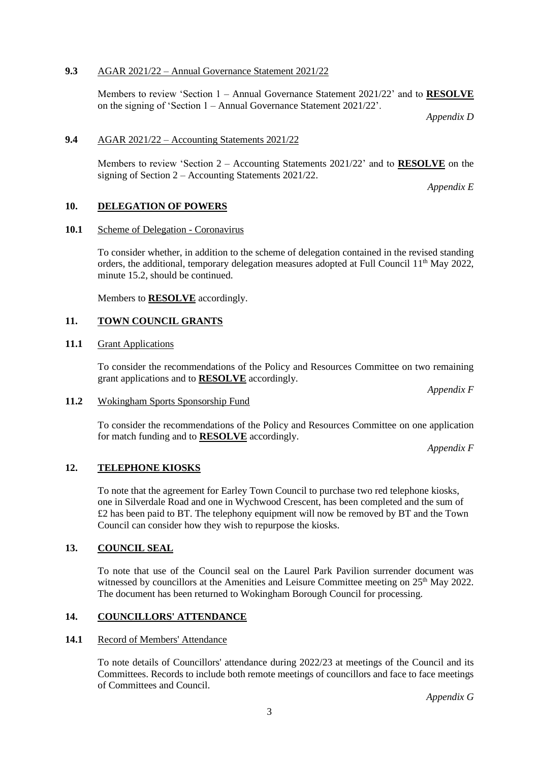#### **9.3** AGAR 2021/22 – Annual Governance Statement 2021/22

Members to review 'Section 1 – Annual Governance Statement 2021/22' and to **RESOLVE** on the signing of 'Section 1 – Annual Governance Statement 2021/22'.

*Appendix D*

#### **9.4** AGAR 2021/22 – Accounting Statements 2021/22

Members to review 'Section 2 – Accounting Statements 2021/22' and to **RESOLVE** on the signing of Section 2 – Accounting Statements 2021/22.

*Appendix E*

#### **10. DELEGATION OF POWERS**

#### **10.1** Scheme of Delegation - Coronavirus

To consider whether, in addition to the scheme of delegation contained in the revised standing orders, the additional, temporary delegation measures adopted at Full Council  $11<sup>th</sup>$  May 2022, minute 15.2, should be continued.

Members to **RESOLVE** accordingly.

#### **11. TOWN COUNCIL GRANTS**

#### **11.1** Grant Applications

To consider the recommendations of the Policy and Resources Committee on two remaining grant applications and to **RESOLVE** accordingly.

*Appendix F*

#### **11.2** Wokingham Sports Sponsorship Fund

To consider the recommendations of the Policy and Resources Committee on one application for match funding and to **RESOLVE** accordingly.

*Appendix F*

#### **12. TELEPHONE KIOSKS**

To note that the agreement for Earley Town Council to purchase two red telephone kiosks, one in Silverdale Road and one in Wychwood Crescent, has been completed and the sum of £2 has been paid to BT. The telephony equipment will now be removed by BT and the Town Council can consider how they wish to repurpose the kiosks.

#### **13. COUNCIL SEAL**

To note that use of the Council seal on the Laurel Park Pavilion surrender document was witnessed by councillors at the Amenities and Leisure Committee meeting on 25<sup>th</sup> May 2022. The document has been returned to Wokingham Borough Council for processing.

#### **14. COUNCILLORS' ATTENDANCE**

#### **14.1** Record of Members' Attendance

To note details of Councillors' attendance during 2022/23 at meetings of the Council and its Committees. Records to include both remote meetings of councillors and face to face meetings of Committees and Council.